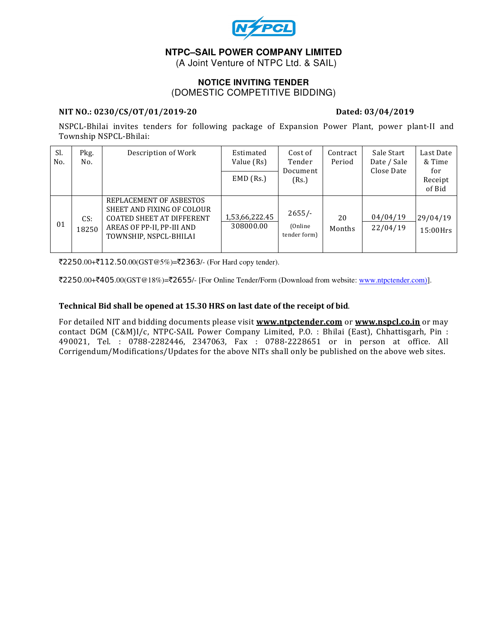

# **NTPC–SAIL POWER COMPANY LIMITED**

(A Joint Venture of NTPC Ltd. & SAIL)

## **NOTICE INVITING TENDER**  (DOMESTIC COMPETITIVE BIDDING)

## NIT NO.: 0230/CS/OT/01/2019-20 Dated: 03/04/2019

NSPCL-Bhilai invites tenders for following package of Expansion Power Plant, power plant-II and Township NSPCL-Bhilai:

| Sl.<br>No. | Pkg.<br>No.  | Description of Work                                                                                                                               | Estimated<br>Value (Rs)     | Cost of<br>Tender<br>Document<br>(Rs.) | Contract<br>Period | Sale Start<br>Date / Sale<br>Close Date | Last Date<br>& Time<br>for<br>Receipt<br>of Bid |
|------------|--------------|---------------------------------------------------------------------------------------------------------------------------------------------------|-----------------------------|----------------------------------------|--------------------|-----------------------------------------|-------------------------------------------------|
|            |              |                                                                                                                                                   | $EMD$ (Rs.)                 |                                        |                    |                                         |                                                 |
| 01         | CS:<br>18250 | REPLACEMENT OF ASBESTOS<br>SHEET AND FIXING OF COLOUR<br><b>COATED SHEET AT DIFFERENT</b><br>AREAS OF PP-II, PP-III AND<br>TOWNSHIP, NSPCL-BHILAI | 1,53,66,222.45<br>308000.00 | $2655/-$<br>(Online)<br>tender form)   | 20<br>Months       | 04/04/19<br>22/04/19                    | 29/04/19<br>15:00Hrs                            |

₹2250.00+₹112.50.00(GST@5%)=₹2363/- (For Hard copy tender).

`2250.00+`405.00(GST@18%)=`2655/- [For Online Tender/Form (Download from website: www.ntpctender.com)].

## Technical Bid shall be opened at 15.30 HRS on last date of the receipt of bid.

For detailed NIT and bidding documents please visit www.ntpctender.com or www.nspcl.co.in or may contact DGM (C&M)I/c, NTPC-SAIL Power Company Limited, P.O. : Bhilai (East), Chhattisgarh, Pin : 490021, Tel. : 0788-2282446, 2347063, Fax : 0788-2228651 or in person at office. All Corrigendum/Modifications/Updates for the above NITs shall only be published on the above web sites.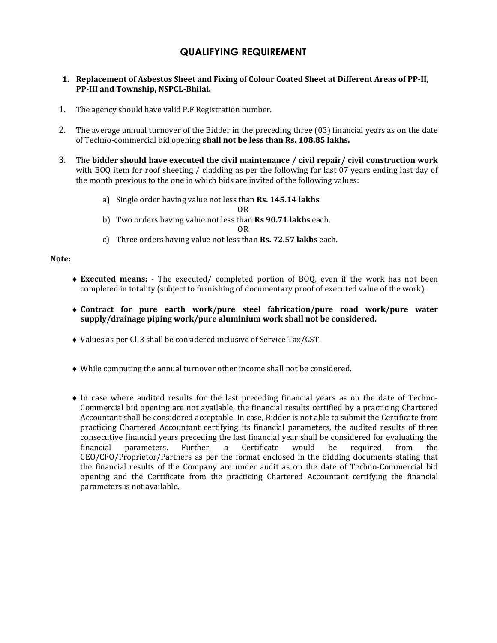# QUALIFYING REQUIREMENT

## 1. Replacement of Asbestos Sheet and Fixing of Colour Coated Sheet at Different Areas of PP-II, PP-III and Township, NSPCL-Bhilai.

- 1. The agency should have valid P.F Registration number.
- 2. The average annual turnover of the Bidder in the preceding three (03) financial years as on the date of Techno-commercial bid opening shall not be less than Rs. 108.85 lakhs.
- 3. The bidder should have executed the civil maintenance / civil repair/ civil construction work with BOQ item for roof sheeting / cladding as per the following for last 07 years ending last day of the month previous to the one in which bids are invited of the following values:
	- a) Single order having value not less than Rs. 145.14 lakhs.

OR

- b) Two orders having value not less than Rs 90.71 lakhs each.
	- OR
- c) Three orders having value not less than Rs. 72.57 lakhs each.

## Note:

- ♦ Executed means: The executed/ completed portion of BOQ, even if the work has not been completed in totality (subject to furnishing of documentary proof of executed value of the work).
- ♦ Contract for pure earth work/pure steel fabrication/pure road work/pure water supply/drainage piping work/pure aluminium work shall not be considered.
- ♦ Values as per Cl-3 shall be considered inclusive of Service Tax/GST.
- ♦ While computing the annual turnover other income shall not be considered.
- ♦ In case where audited results for the last preceding financial years as on the date of Techno-Commercial bid opening are not available, the financial results certified by a practicing Chartered Accountant shall be considered acceptable. In case, Bidder is not able to submit the Certificate from practicing Chartered Accountant certifying its financial parameters, the audited results of three consecutive financial years preceding the last financial year shall be considered for evaluating the financial parameters. Further, a Certificate would be required from the CEO/CFO/Proprietor/Partners as per the format enclosed in the bidding documents stating that the financial results of the Company are under audit as on the date of Techno-Commercial bid opening and the Certificate from the practicing Chartered Accountant certifying the financial parameters is not available.